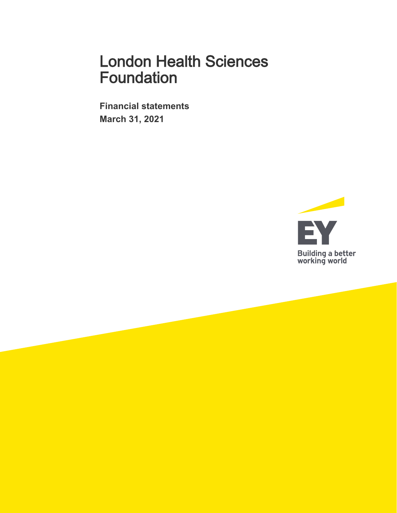**Financial statements March 31, 2021** 

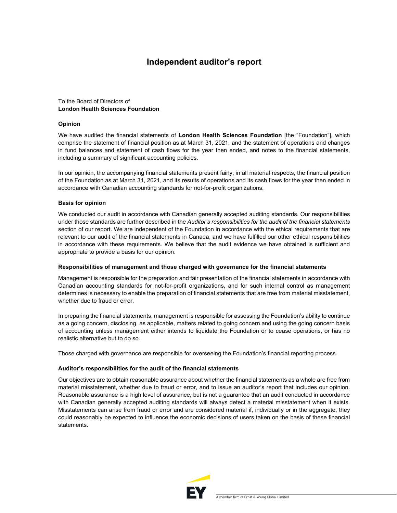## **Independent auditor's report**

#### To the Board of Directors of **London Health Sciences Foundation**

#### **Opinion**

We have audited the financial statements of **London Health Sciences Foundation** [the "Foundation"], which comprise the statement of financial position as at March 31, 2021, and the statement of operations and changes in fund balances and statement of cash flows for the year then ended, and notes to the financial statements, including a summary of significant accounting policies.

In our opinion, the accompanying financial statements present fairly, in all material respects, the financial position of the Foundation as at March 31, 2021, and its results of operations and its cash flows for the year then ended in accordance with Canadian accounting standards for not-for-profit organizations.

#### **Basis for opinion**

We conducted our audit in accordance with Canadian generally accepted auditing standards. Our responsibilities under those standards are further described in the *Auditor's responsibilities for the audit of the financial statements*  section of our report. We are independent of the Foundation in accordance with the ethical requirements that are relevant to our audit of the financial statements in Canada, and we have fulfilled our other ethical responsibilities in accordance with these requirements. We believe that the audit evidence we have obtained is sufficient and appropriate to provide a basis for our opinion.

#### **Responsibilities of management and those charged with governance for the financial statements**

Management is responsible for the preparation and fair presentation of the financial statements in accordance with Canadian accounting standards for not-for-profit organizations, and for such internal control as management determines is necessary to enable the preparation of financial statements that are free from material misstatement, whether due to fraud or error.

In preparing the financial statements, management is responsible for assessing the Foundation's ability to continue as a going concern, disclosing, as applicable, matters related to going concern and using the going concern basis of accounting unless management either intends to liquidate the Foundation or to cease operations, or has no realistic alternative but to do so.

Those charged with governance are responsible for overseeing the Foundation's financial reporting process.

#### **Auditor's responsibilities for the audit of the financial statements**

Our objectives are to obtain reasonable assurance about whether the financial statements as a whole are free from material misstatement, whether due to fraud or error, and to issue an auditor's report that includes our opinion. Reasonable assurance is a high level of assurance, but is not a guarantee that an audit conducted in accordance with Canadian generally accepted auditing standards will always detect a material misstatement when it exists. Misstatements can arise from fraud or error and are considered material if, individually or in the aggregate, they could reasonably be expected to influence the economic decisions of users taken on the basis of these financial statements.

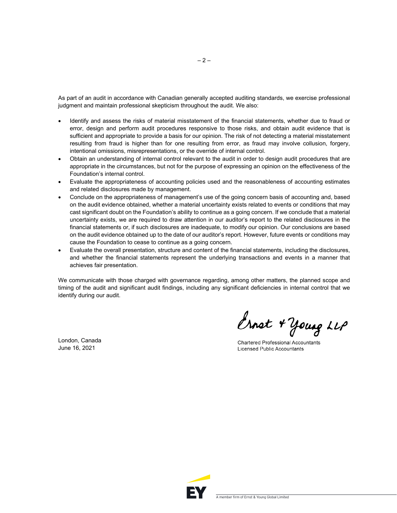As part of an audit in accordance with Canadian generally accepted auditing standards, we exercise professional judgment and maintain professional skepticism throughout the audit. We also:

- Identify and assess the risks of material misstatement of the financial statements, whether due to fraud or error, design and perform audit procedures responsive to those risks, and obtain audit evidence that is sufficient and appropriate to provide a basis for our opinion. The risk of not detecting a material misstatement resulting from fraud is higher than for one resulting from error, as fraud may involve collusion, forgery, intentional omissions, misrepresentations, or the override of internal control.
- Obtain an understanding of internal control relevant to the audit in order to design audit procedures that are appropriate in the circumstances, but not for the purpose of expressing an opinion on the effectiveness of the Foundation's internal control.
- Evaluate the appropriateness of accounting policies used and the reasonableness of accounting estimates and related disclosures made by management.
- Conclude on the appropriateness of management's use of the going concern basis of accounting and, based on the audit evidence obtained, whether a material uncertainty exists related to events or conditions that may cast significant doubt on the Foundation's ability to continue as a going concern. If we conclude that a material uncertainty exists, we are required to draw attention in our auditor's report to the related disclosures in the financial statements or, if such disclosures are inadequate, to modify our opinion. Our conclusions are based on the audit evidence obtained up to the date of our auditor's report. However, future events or conditions may cause the Foundation to cease to continue as a going concern.
- Evaluate the overall presentation, structure and content of the financial statements, including the disclosures, and whether the financial statements represent the underlying transactions and events in a manner that achieves fair presentation.

We communicate with those charged with governance regarding, among other matters, the planned scope and timing of the audit and significant audit findings, including any significant deficiencies in internal control that we identify during our audit.

London, Canada June 16, 2021

Ernet + Young LLP

Chartered Professional Accountants **Licensed Public Accountants** 



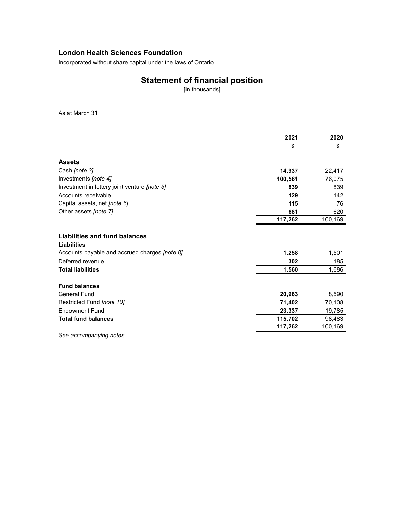Incorporated without share capital under the laws of Ontario

## **Statement of financial position**

[in thousands]

As at March 31

|                                                     | 2021    | 2020    |
|-----------------------------------------------------|---------|---------|
|                                                     | \$      | \$      |
| <b>Assets</b>                                       |         |         |
| Cash [note 3]                                       | 14,937  | 22,417  |
| Investments [note 4]                                | 100,561 | 76,075  |
| Investment in lottery joint venture <i>[note 5]</i> | 839     | 839     |
| Accounts receivable                                 | 129     | 142     |
| Capital assets, net [note 6]                        | 115     | 76      |
| Other assets [note 7]                               | 681     | 620     |
|                                                     | 117,262 | 100,169 |
| Liabilities and fund balances<br><b>Liabilities</b> |         |         |
| Accounts payable and accrued charges [note 8]       | 1,258   | 1,501   |
| Deferred revenue                                    | 302     | 185     |
| <b>Total liabilities</b>                            | 1,560   | 1,686   |
| <b>Fund balances</b>                                |         |         |
| <b>General Fund</b>                                 | 20,963  | 8,590   |
| Restricted Fund [note 10]                           | 71,402  | 70,108  |
| <b>Endowment Fund</b>                               | 23,337  | 19,785  |
| <b>Total fund balances</b>                          | 115,702 | 98,483  |
|                                                     | 117,262 | 100,169 |

*See accompanying notes*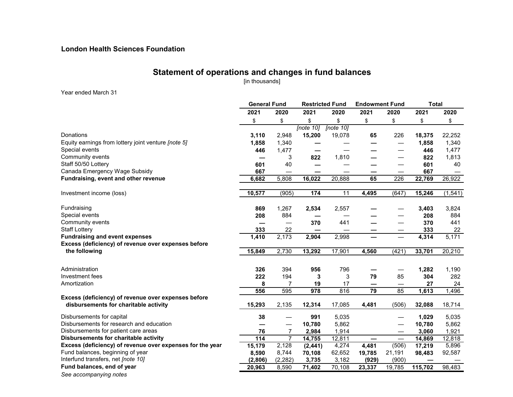## **Statement of operations and changes in fund balances**

[in thousands]

#### Year ended March 31

|                                                           | <b>General Fund</b> |                          |              | <b>Restricted Fund</b> | <b>Endowment Fund</b> |                                | <b>Total</b> |          |
|-----------------------------------------------------------|---------------------|--------------------------|--------------|------------------------|-----------------------|--------------------------------|--------------|----------|
|                                                           | 2021                | 2020                     | 2021         | 2020                   | 2021                  | 2020                           | 2021         | 2020     |
|                                                           | \$                  | \$                       | \$           | \$                     | \$                    | \$                             | \$           | \$       |
|                                                           |                     |                          | [note $10$ ] | [note $10$ ]           |                       |                                |              |          |
| Donations                                                 | 3,110               | 2,948                    | 15,200       | 19,078                 | 65                    | 226                            | 18,375       | 22,252   |
| Equity earnings from lottery joint venture [note 5]       | 1,858               | 1,340                    |              |                        |                       |                                | 1,858        | 1,340    |
| Special events                                            | 446                 | 1,477                    |              |                        |                       |                                | 446          | 1,477    |
| Community events                                          |                     | 3                        | 822          | 1,810                  |                       |                                | 822          | 1,813    |
| Staff 50/50 Lottery                                       | 601                 | 40                       |              |                        |                       |                                | 601          | 40       |
| Canada Emergency Wage Subsidy                             | 667                 | —                        |              |                        |                       |                                | 667          |          |
| Fundraising, event and other revenue                      | 6,682               | 5,808                    | 16,022       | 20,888                 | 65                    | 226                            | 22,769       | 26,922   |
| Investment income (loss)                                  | 10,577              | (905)                    | 174          | 11                     | 4,495                 | (647)                          | 15,246       | (1, 541) |
| Fundraising                                               | 869                 | 1,267                    | 2,534        | 2,557                  |                       |                                | 3,403        | 3,824    |
| Special events                                            | 208                 | 884                      |              |                        |                       |                                | 208          | 884      |
| Community events                                          |                     | $\overline{\phantom{0}}$ | 370          | 441                    |                       |                                | 370          | 441      |
| <b>Staff Lottery</b>                                      | 333                 | 22                       |              |                        |                       |                                | 333          | 22       |
| <b>Fundraising and event expenses</b>                     | 1,410               | 2,173                    | 2,904        | 2,998                  |                       |                                | 4,314        | 5,171    |
| Excess (deficiency) of revenue over expenses before       |                     |                          |              |                        |                       |                                |              |          |
| the following                                             | 15,849              | 2,730                    | 13,292       | 17,901                 | 4,560                 | (421)                          | 33,701       | 20,210   |
|                                                           |                     |                          |              |                        |                       |                                |              |          |
| Administration<br>Investment fees                         | 326                 | 394                      | 956          | 796                    |                       |                                | 1,282        | 1,190    |
| Amortization                                              | 222                 | 194                      | 3            | 3                      | 79                    | 85                             | 304          | 282      |
|                                                           | 8                   | 7                        | 19           | 17<br>816              | —                     | $\overline{\phantom{0}}$<br>85 | 27           | 24       |
| Excess (deficiency) of revenue over expenses before       | 556                 | 595                      | 978          |                        | 79                    |                                | 1,613        | 1,496    |
| disbursements for charitable activity                     | 15,293              | 2,135                    | 12,314       | 17,085                 | 4,481                 | (506)                          | 32,088       | 18,714   |
| Disbursements for capital                                 | 38                  |                          | 991          | 5,035                  |                       |                                | 1,029        | 5,035    |
| Disbursements for research and education                  |                     |                          | 10,780       | 5,862                  |                       |                                | 10,780       | 5,862    |
| Disbursements for patient care areas                      | 76                  | $\overline{7}$           | 2,984        | 1,914                  |                       |                                | 3,060        | 1,921    |
| Disbursements for charitable activity                     | 114                 | $\overline{7}$           | 14,755       | 12,811                 |                       | $\overline{\phantom{0}}$       | 14,869       | 12,818   |
| Excess (deficiency) of revenue over expenses for the year | 15,179              | 2,128                    | (2, 441)     | 4,274                  | 4,481                 | (506)                          | 17,219       | 5,896    |
| Fund balances, beginning of year                          | 8,590               | 8,744                    | 70,108       | 62,652                 | 19,785                | 21,191                         | 98,483       | 92,587   |
| Interfund transfers, net [note 10]                        | (2,806)             | (2, 282)                 | 3,735        | 3,182                  | (929)                 | (900)                          |              |          |
| Fund balances, end of year                                | 20,963              | 8,590                    | 71,402       | 70,108                 | 23,337                | 19,785                         | 115,702      | 98,483   |
| See accompanying notes                                    |                     |                          |              |                        |                       |                                |              |          |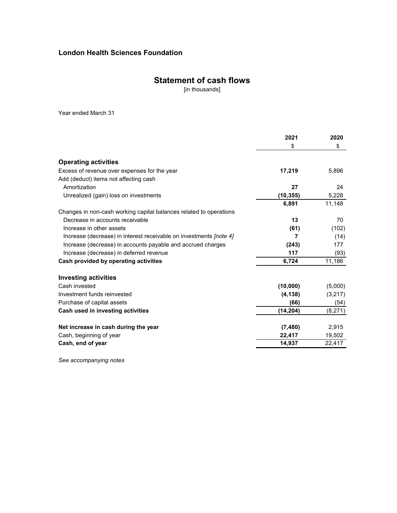## **Statement of cash flows**

[in thousands]

Year ended March 31

|                                                                           | 2021      | 2020    |
|---------------------------------------------------------------------------|-----------|---------|
|                                                                           | \$        | \$      |
| <b>Operating activities</b>                                               |           |         |
| Excess of revenue over expenses for the year                              | 17,219    | 5,896   |
| Add (deduct) items not affecting cash                                     |           |         |
| Amortization                                                              | 27        | 24      |
| Unrealized (gain) loss on investments                                     | (10, 355) | 5,228   |
|                                                                           | 6,891     | 11,148  |
| Changes in non-cash working capital balances related to operations        |           |         |
| Decrease in accounts receivable                                           | 13        | 70      |
| Increase in other assets                                                  | (61)      | (102)   |
| Increase (decrease) in interest receivable on investments <i>[note 4]</i> | 7         | (14)    |
| Increase (decrease) in accounts payable and accrued charges               | (243)     | 177     |
| Increase (decrease) in deferred revenue                                   | 117       | (93)    |
| Cash provided by operating activities                                     | 6,724     | 11,186  |
| Investing activities                                                      |           |         |
| Cash invested                                                             | (10,000)  | (5,000) |
| Investment funds reinvested                                               | (4, 138)  | (3,217) |
| Purchase of capital assets                                                | (66)      | (54)    |
| Cash used in investing activities                                         | (14, 204) | (8,271) |
| Net increase in cash during the year                                      | (7, 480)  | 2,915   |
| Cash, beginning of year                                                   | 22,417    | 19,502  |
| Cash, end of year                                                         | 14,937    | 22,417  |

*See accompanying notes*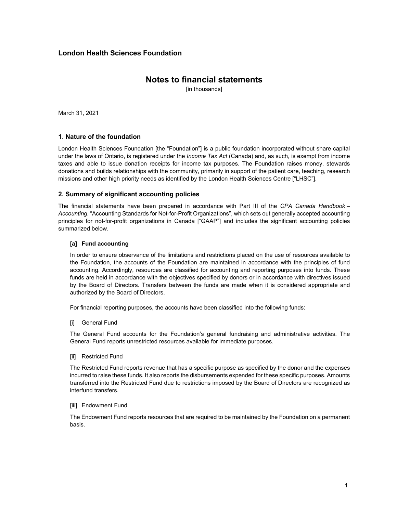## **Notes to financial statements**

[in thousands]

March 31, 2021

#### **1. Nature of the foundation**

London Health Sciences Foundation [the "Foundation"] is a public foundation incorporated without share capital under the laws of Ontario, is registered under the *Income Tax Act* (Canada) and, as such, is exempt from income taxes and able to issue donation receipts for income tax purposes. The Foundation raises money, stewards donations and builds relationships with the community, primarily in support of the patient care, teaching, research missions and other high priority needs as identified by the London Health Sciences Centre ["LHSC"].

#### **2. Summary of significant accounting policies**

The financial statements have been prepared in accordance with Part III of the *CPA Canada Handbook – Accounting*, "Accounting Standards for Not-for-Profit Organizations", which sets out generally accepted accounting principles for not-for-profit organizations in Canada ["GAAP"] and includes the significant accounting policies summarized below.

#### **[a] Fund accounting**

In order to ensure observance of the limitations and restrictions placed on the use of resources available to the Foundation, the accounts of the Foundation are maintained in accordance with the principles of fund accounting. Accordingly, resources are classified for accounting and reporting purposes into funds. These funds are held in accordance with the objectives specified by donors or in accordance with directives issued by the Board of Directors. Transfers between the funds are made when it is considered appropriate and authorized by the Board of Directors.

For financial reporting purposes, the accounts have been classified into the following funds:

[i] General Fund

The General Fund accounts for the Foundation's general fundraising and administrative activities. The General Fund reports unrestricted resources available for immediate purposes.

[ii] Restricted Fund

The Restricted Fund reports revenue that has a specific purpose as specified by the donor and the expenses incurred to raise these funds. It also reports the disbursements expended for these specific purposes. Amounts transferred into the Restricted Fund due to restrictions imposed by the Board of Directors are recognized as interfund transfers.

*<u>Iiiil Endowment Fund</u>* 

The Endowment Fund reports resources that are required to be maintained by the Foundation on a permanent basis.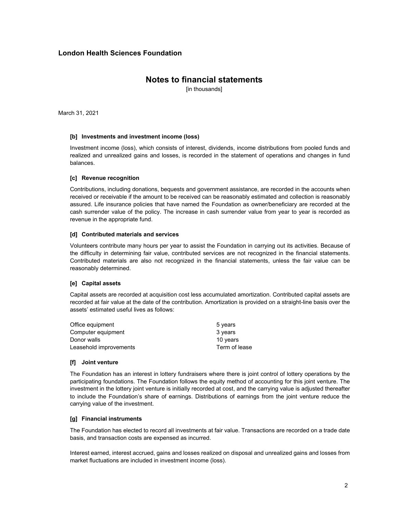## **Notes to financial statements**

[in thousands]

March 31, 2021

#### **[b] Investments and investment income (loss)**

Investment income (loss), which consists of interest, dividends, income distributions from pooled funds and realized and unrealized gains and losses, is recorded in the statement of operations and changes in fund balances.

#### **[c] Revenue recognition**

Contributions, including donations, bequests and government assistance, are recorded in the accounts when received or receivable if the amount to be received can be reasonably estimated and collection is reasonably assured. Life insurance policies that have named the Foundation as owner/beneficiary are recorded at the cash surrender value of the policy. The increase in cash surrender value from year to year is recorded as revenue in the appropriate fund.

#### **[d] Contributed materials and services**

Volunteers contribute many hours per year to assist the Foundation in carrying out its activities. Because of the difficulty in determining fair value, contributed services are not recognized in the financial statements. Contributed materials are also not recognized in the financial statements, unless the fair value can be reasonably determined.

#### **[e] Capital assets**

Capital assets are recorded at acquisition cost less accumulated amortization. Contributed capital assets are recorded at fair value at the date of the contribution. Amortization is provided on a straight-line basis over the assets' estimated useful lives as follows:

| Office equipment       | 5 years       |
|------------------------|---------------|
| Computer equipment     | 3 years       |
| Donor walls            | 10 years      |
| Leasehold improvements | Term of lease |

#### **[f] Joint venture**

The Foundation has an interest in lottery fundraisers where there is joint control of lottery operations by the participating foundations. The Foundation follows the equity method of accounting for this joint venture. The investment in the lottery joint venture is initially recorded at cost, and the carrying value is adjusted thereafter to include the Foundation's share of earnings. Distributions of earnings from the joint venture reduce the carrying value of the investment.

#### **[g] Financial instruments**

The Foundation has elected to record all investments at fair value. Transactions are recorded on a trade date basis, and transaction costs are expensed as incurred.

Interest earned, interest accrued, gains and losses realized on disposal and unrealized gains and losses from market fluctuations are included in investment income (loss).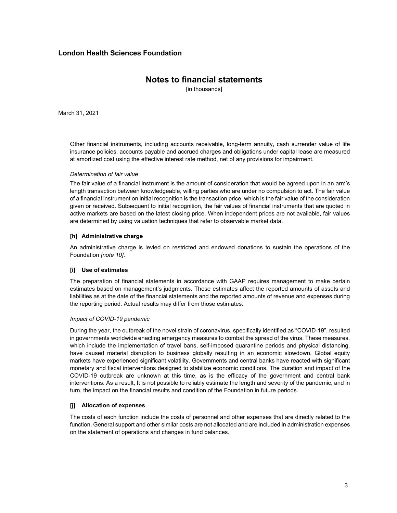## **Notes to financial statements**

[in thousands]

March 31, 2021

Other financial instruments, including accounts receivable, long-term annuity, cash surrender value of life insurance policies, accounts payable and accrued charges and obligations under capital lease are measured at amortized cost using the effective interest rate method, net of any provisions for impairment.

#### *Determination of fair value*

The fair value of a financial instrument is the amount of consideration that would be agreed upon in an arm's length transaction between knowledgeable, willing parties who are under no compulsion to act. The fair value of a financial instrument on initial recognition is the transaction price, which is the fair value of the consideration given or received. Subsequent to initial recognition, the fair values of financial instruments that are quoted in active markets are based on the latest closing price. When independent prices are not available, fair values are determined by using valuation techniques that refer to observable market data.

#### **[h] Administrative charge**

An administrative charge is levied on restricted and endowed donations to sustain the operations of the Foundation *[note 10]*.

#### **[i] Use of estimates**

The preparation of financial statements in accordance with GAAP requires management to make certain estimates based on management's judgments. These estimates affect the reported amounts of assets and liabilities as at the date of the financial statements and the reported amounts of revenue and expenses during the reporting period. Actual results may differ from those estimates.

#### *Impact of COVID-19 pandemic*

During the year, the outbreak of the novel strain of coronavirus, specifically identified as "COVID-19", resulted in governments worldwide enacting emergency measures to combat the spread of the virus. These measures, which include the implementation of travel bans, self-imposed quarantine periods and physical distancing, have caused material disruption to business globally resulting in an economic slowdown. Global equity markets have experienced significant volatility. Governments and central banks have reacted with significant monetary and fiscal interventions designed to stabilize economic conditions. The duration and impact of the COVID-19 outbreak are unknown at this time, as is the efficacy of the government and central bank interventions. As a result, It is not possible to reliably estimate the length and severity of the pandemic, and in turn, the impact on the financial results and condition of the Foundation in future periods.

#### **[j] Allocation of expenses**

The costs of each function include the costs of personnel and other expenses that are directly related to the function. General support and other similar costs are not allocated and are included in administration expenses on the statement of operations and changes in fund balances.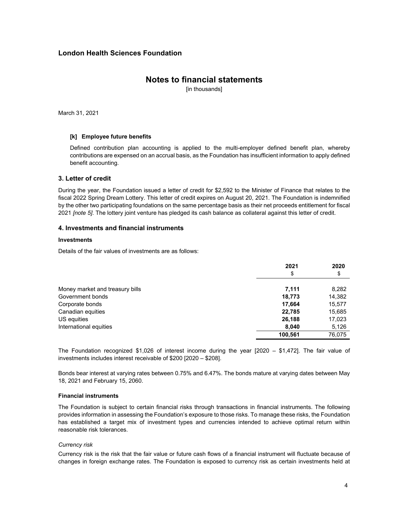## **Notes to financial statements**

[in thousands]

March 31, 2021

#### **[k] Employee future benefits**

Defined contribution plan accounting is applied to the multi-employer defined benefit plan, whereby contributions are expensed on an accrual basis, as the Foundation has insufficient information to apply defined benefit accounting.

#### **3. Letter of credit**

During the year, the Foundation issued a letter of credit for \$2,592 to the Minister of Finance that relates to the fiscal 2022 Spring Dream Lottery. This letter of credit expires on August 20, 2021. The Foundation is indemnified by the other two participating foundations on the same percentage basis as their net proceeds entitlement for fiscal 2021 *[note 5]*. The lottery joint venture has pledged its cash balance as collateral against this letter of credit.

#### **4. Investments and financial instruments**

#### **Investments**

Details of the fair values of investments are as follows:

|                                 | 2021    | 2020   |
|---------------------------------|---------|--------|
|                                 | \$      | \$     |
| Money market and treasury bills | 7,111   | 8,282  |
| Government bonds                | 18,773  | 14,382 |
| Corporate bonds                 | 17,664  | 15,577 |
| Canadian equities               | 22,785  | 15,685 |
| US equities                     | 26,188  | 17,023 |
| International equities          | 8,040   | 5,126  |
|                                 | 100.561 | 76.075 |

The Foundation recognized \$1,026 of interest income during the year [2020 – \$1,472]. The fair value of investments includes interest receivable of \$200 [2020 – \$208].

Bonds bear interest at varying rates between 0.75% and 6.47%. The bonds mature at varying dates between May 18, 2021 and February 15, 2060.

#### **Financial instruments**

The Foundation is subject to certain financial risks through transactions in financial instruments. The following provides information in assessing the Foundation's exposure to those risks. To manage these risks, the Foundation has established a target mix of investment types and currencies intended to achieve optimal return within reasonable risk tolerances.

#### *Currency risk*

Currency risk is the risk that the fair value or future cash flows of a financial instrument will fluctuate because of changes in foreign exchange rates. The Foundation is exposed to currency risk as certain investments held at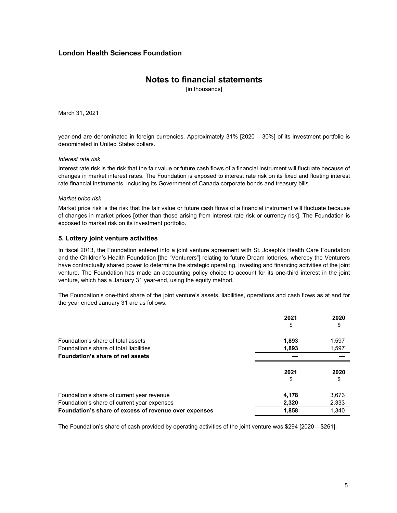## **Notes to financial statements**

[in thousands]

March 31, 2021

year-end are denominated in foreign currencies. Approximately 31% [2020 – 30%] of its investment portfolio is denominated in United States dollars.

#### *Interest rate risk*

Interest rate risk is the risk that the fair value or future cash flows of a financial instrument will fluctuate because of changes in market interest rates. The Foundation is exposed to interest rate risk on its fixed and floating interest rate financial instruments, including its Government of Canada corporate bonds and treasury bills.

#### *Market price risk*

Market price risk is the risk that the fair value or future cash flows of a financial instrument will fluctuate because of changes in market prices [other than those arising from interest rate risk or currency risk]. The Foundation is exposed to market risk on its investment portfolio.

#### **5. Lottery joint venture activities**

In fiscal 2013, the Foundation entered into a joint venture agreement with St. Joseph's Health Care Foundation and the Children's Health Foundation [the "Venturers"] relating to future Dream lotteries, whereby the Venturers have contractually shared power to determine the strategic operating, investing and financing activities of the joint venture. The Foundation has made an accounting policy choice to account for its one-third interest in the joint venture, which has a January 31 year-end, using the equity method.

The Foundation's one-third share of the joint venture's assets, liabilities, operations and cash flows as at and for the year ended January 31 are as follows:

|                                                       | 2021  | 2020  |
|-------------------------------------------------------|-------|-------|
|                                                       |       |       |
| Foundation's share of total assets                    | 1,893 | 1,597 |
| Foundation's share of total liabilities               | 1,893 | 1,597 |
| Foundation's share of net assets                      |       |       |
|                                                       | 2021  | 2020  |
|                                                       |       |       |
| Foundation's share of current year revenue            | 4,178 | 3,673 |
| Foundation's share of current year expenses           | 2,320 | 2,333 |
| Foundation's share of excess of revenue over expenses | 1,858 | 1.340 |

The Foundation's share of cash provided by operating activities of the joint venture was \$294 [2020 – \$261].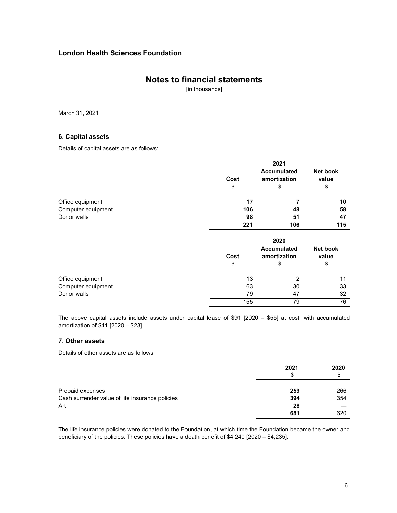## **Notes to financial statements**

[in thousands]

March 31, 2021

#### **6. Capital assets**

Details of capital assets are as follows:

|                    |      | 2021                               |                   |
|--------------------|------|------------------------------------|-------------------|
|                    | Cost | <b>Accumulated</b><br>amortization | Net book<br>value |
|                    | \$   | \$                                 | \$                |
| Office equipment   | 17   |                                    | 10                |
| Computer equipment | 106  | 48                                 | 58                |
| Donor walls        | 98   | 51                                 | 47                |
|                    | 221  | 106                                | 115               |
|                    |      | 2020                               |                   |
|                    | Cost | <b>Accumulated</b><br>amortization | Net book<br>value |
|                    | \$   | \$                                 | \$                |
| Office equipment   | 13   | 2                                  | 11                |
| Computer equipment | 63   | 30                                 | 33                |
| Donor walls        | 79   | 47                                 | 32                |
|                    | 155  | 79                                 | 76                |

The above capital assets include assets under capital lease of \$91 [2020 – \$55] at cost, with accumulated amortization of \$41 [2020 – \$23].

#### **7. Other assets**

Details of other assets are as follows:

|                                                 | 2021 | 2020 |
|-------------------------------------------------|------|------|
|                                                 | \$   | \$   |
| Prepaid expenses                                | 259  | 266  |
| Cash surrender value of life insurance policies | 394  | 354  |
| Art                                             | 28   |      |
|                                                 | 681  | 620  |

The life insurance policies were donated to the Foundation, at which time the Foundation became the owner and beneficiary of the policies. These policies have a death benefit of \$4,240 [2020 – \$4,235].